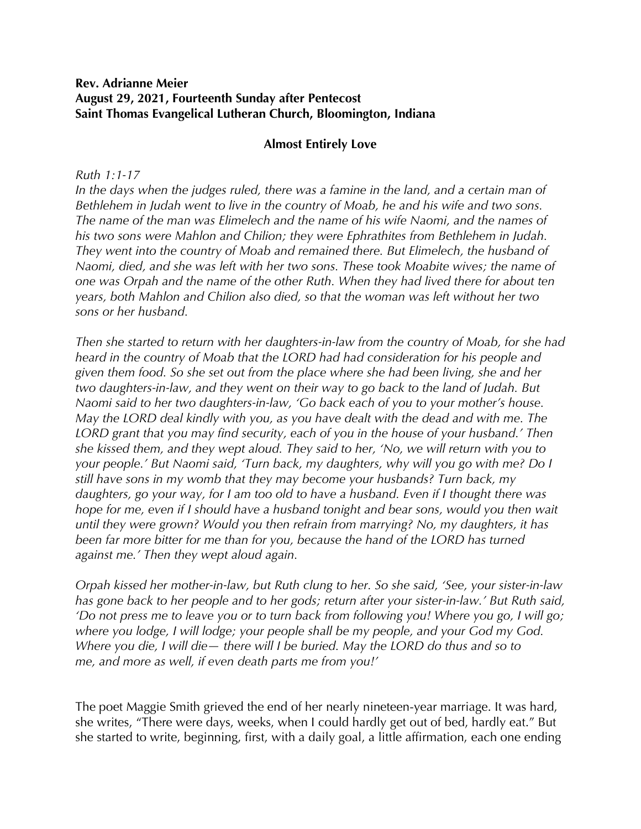## **Rev. Adrianne Meier August 29, 2021, Fourteenth Sunday after Pentecost Saint Thomas Evangelical Lutheran Church, Bloomington, Indiana**

## **Almost Entirely Love**

*Ruth 1:1-17*

*In the days when the judges ruled, there was a famine in the land, and a certain man of Bethlehem in Judah went to live in the country of Moab, he and his wife and two sons. The name of the man was Elimelech and the name of his wife Naomi, and the names of his two sons were Mahlon and Chilion; they were Ephrathites from Bethlehem in Judah. They went into the country of Moab and remained there. But Elimelech, the husband of Naomi, died, and she was left with her two sons. These took Moabite wives; the name of one was Orpah and the name of the other Ruth. When they had lived there for about ten years, both Mahlon and Chilion also died, so that the woman was left without her two sons or her husband.*

*Then she started to return with her daughters-in-law from the country of Moab, for she had heard in the country of Moab that the LORD had had consideration for his people and given them food. So she set out from the place where she had been living, she and her two daughters-in-law, and they went on their way to go back to the land of Judah. But Naomi said to her two daughters-in-law, 'Go back each of you to your mother's house. May the LORD deal kindly with you, as you have dealt with the dead and with me. The LORD grant that you may find security, each of you in the house of your husband.' Then she kissed them, and they wept aloud. They said to her, 'No, we will return with you to your people.' But Naomi said, 'Turn back, my daughters, why will you go with me? Do I still have sons in my womb that they may become your husbands? Turn back, my daughters, go your way, for I am too old to have a husband. Even if I thought there was hope for me, even if I should have a husband tonight and bear sons, would you then wait until they were grown? Would you then refrain from marrying? No, my daughters, it has been far more bitter for me than for you, because the hand of the LORD has turned against me.' Then they wept aloud again.* 

*Orpah kissed her mother-in-law, but Ruth clung to her. So she said, 'See, your sister-in-law has gone back to her people and to her gods; return after your sister-in-law.' But Ruth said, 'Do not press me to leave you or to turn back from following you! Where you go, I will go; where you lodge, I will lodge; your people shall be my people, and your God my God. Where you die, I will die— there will I be buried. May the LORD do thus and so to me, and more as well, if even death parts me from you!'*

The poet Maggie Smith grieved the end of her nearly nineteen-year marriage. It was hard, she writes, "There were days, weeks, when I could hardly get out of bed, hardly eat." But she started to write, beginning, first, with a daily goal, a little affirmation, each one ending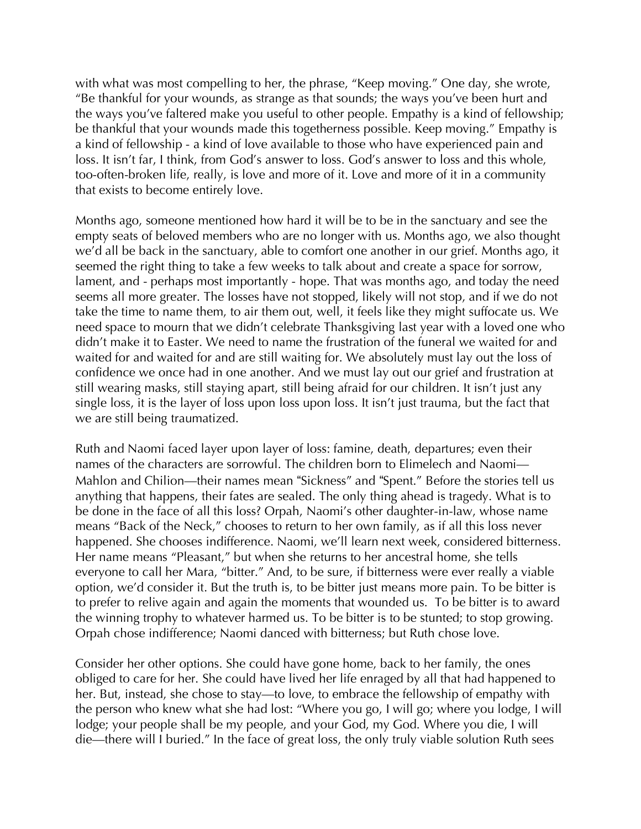with what was most compelling to her, the phrase, "Keep moving." One day, she wrote, "Be thankful for your wounds, as strange as that sounds; the ways you've been hurt and the ways you've faltered make you useful to other people. Empathy is a kind of fellowship; be thankful that your wounds made this togetherness possible. Keep moving." Empathy is a kind of fellowship - a kind of love available to those who have experienced pain and loss. It isn't far, I think, from God's answer to loss. God's answer to loss and this whole, too-often-broken life, really, is love and more of it. Love and more of it in a community that exists to become entirely love.

Months ago, someone mentioned how hard it will be to be in the sanctuary and see the empty seats of beloved members who are no longer with us. Months ago, we also thought we'd all be back in the sanctuary, able to comfort one another in our grief. Months ago, it seemed the right thing to take a few weeks to talk about and create a space for sorrow, lament, and - perhaps most importantly - hope. That was months ago, and today the need seems all more greater. The losses have not stopped, likely will not stop, and if we do not take the time to name them, to air them out, well, it feels like they might suffocate us. We need space to mourn that we didn't celebrate Thanksgiving last year with a loved one who didn't make it to Easter. We need to name the frustration of the funeral we waited for and waited for and waited for and are still waiting for. We absolutely must lay out the loss of confidence we once had in one another. And we must lay out our grief and frustration at still wearing masks, still staying apart, still being afraid for our children. It isn't just any single loss, it is the layer of loss upon loss upon loss. It isn't just trauma, but the fact that we are still being traumatized.

Ruth and Naomi faced layer upon layer of loss: famine, death, departures; even their names of the characters are sorrowful. The children born to Elimelech and Naomi— Mahlon and Chilion—their names mean "Sickness" and "Spent." Before the stories tell us anything that happens, their fates are sealed. The only thing ahead is tragedy. What is to be done in the face of all this loss? Orpah, Naomi's other daughter-in-law, whose name means "Back of the Neck," chooses to return to her own family, as if all this loss never happened. She chooses indifference. Naomi, we'll learn next week, considered bitterness. Her name means "Pleasant," but when she returns to her ancestral home, she tells everyone to call her Mara, "bitter." And, to be sure, if bitterness were ever really a viable option, we'd consider it. But the truth is, to be bitter just means more pain. To be bitter is to prefer to relive again and again the moments that wounded us. To be bitter is to award the winning trophy to whatever harmed us. To be bitter is to be stunted; to stop growing. Orpah chose indifference; Naomi danced with bitterness; but Ruth chose love.

Consider her other options. She could have gone home, back to her family, the ones obliged to care for her. She could have lived her life enraged by all that had happened to her. But, instead, she chose to stay—to love, to embrace the fellowship of empathy with the person who knew what she had lost: "Where you go, I will go; where you lodge, I will lodge; your people shall be my people, and your God, my God. Where you die, I will die—there will I buried." In the face of great loss, the only truly viable solution Ruth sees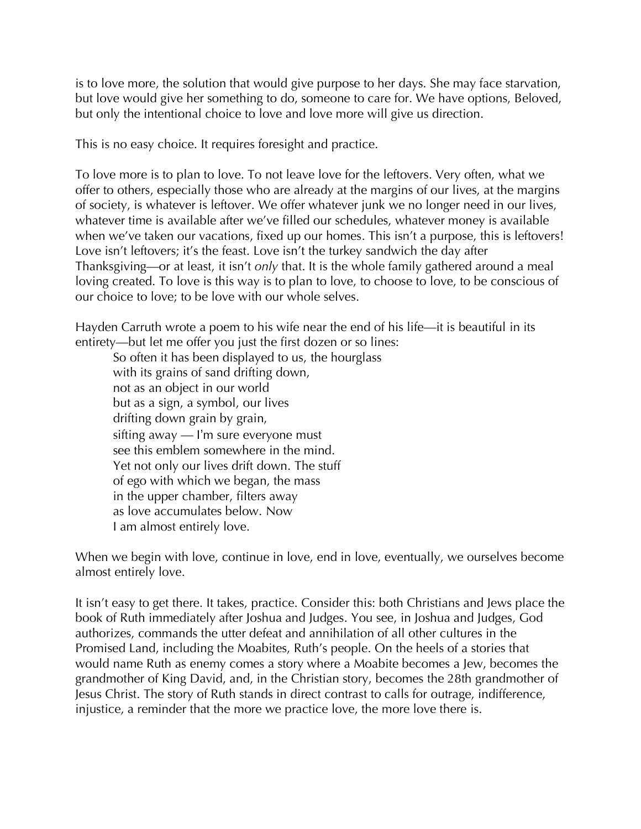is to love more, the solution that would give purpose to her days. She may face starvation, but love would give her something to do, someone to care for. We have options, Beloved, but only the intentional choice to love and love more will give us direction.

This is no easy choice. It requires foresight and practice.

To love more is to plan to love. To not leave love for the leftovers. Very often, what we offer to others, especially those who are already at the margins of our lives, at the margins of society, is whatever is leftover. We offer whatever junk we no longer need in our lives, whatever time is available after we've filled our schedules, whatever money is available when we've taken our vacations, fixed up our homes. This isn't a purpose, this is leftovers! Love isn't leftovers; it's the feast. Love isn't the turkey sandwich the day after Thanksgiving—or at least, it isn't *only* that. It is the whole family gathered around a meal loving created. To love is this way is to plan to love, to choose to love, to be conscious of our choice to love; to be love with our whole selves.

Hayden Carruth wrote a poem to his wife near the end of his life—it is beautiful in its entirety—but let me offer you just the first dozen or so lines:

So often it has been displayed to us, the hourglass with its grains of sand drifting down, not as an object in our world but as a sign, a symbol, our lives drifting down grain by grain, sifting away — I'm sure everyone must see this emblem somewhere in the mind. Yet not only our lives drift down. The stuff of ego with which we began, the mass in the upper chamber, filters away as love accumulates below. Now I am almost entirely love.

When we begin with love, continue in love, end in love, eventually, we ourselves become almost entirely love.

It isn't easy to get there. It takes, practice. Consider this: both Christians and Jews place the book of Ruth immediately after Joshua and Judges. You see, in Joshua and Judges, God authorizes, commands the utter defeat and annihilation of all other cultures in the Promised Land, including the Moabites, Ruth's people. On the heels of a stories that would name Ruth as enemy comes a story where a Moabite becomes a Jew, becomes the grandmother of King David, and, in the Christian story, becomes the 28th grandmother of Jesus Christ. The story of Ruth stands in direct contrast to calls for outrage, indifference, injustice, a reminder that the more we practice love, the more love there is.